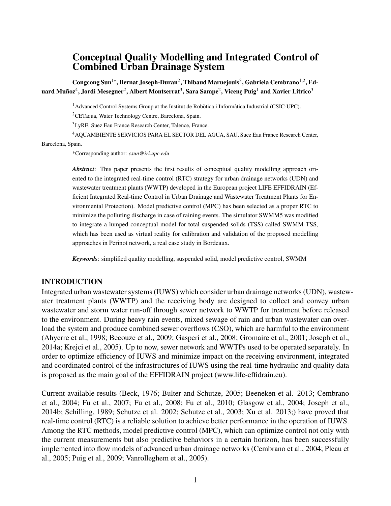# Conceptual Quality Modelling and Integrated Control of Combined Urban Drainage System

Congcong Sun<sup>1</sup>\*, Bernat Joseph-Duran<sup>2</sup>, Thibaud Maruejouls<sup>3</sup>, Gabriela Cembrano<sup>1,2</sup>, Eduard Muñoz $^4$ , Jordi Meseguer $^2$ , Albert Montserrat $^3$ , Sara Sampe $^2$ , Vicenç Puig $^1$  and Xavier Litrico $^3$ 

 $<sup>1</sup>$ Advanced Control Systems Group at the Institut de Robòtica i Informàtica Industrial (CSIC-UPC).</sup>

<sup>2</sup>CETaqua, Water Technology Centre, Barcelona, Spain.

<sup>3</sup>LyRE, Suez Eau France Research Center, Talence, France.

<sup>4</sup>AQUAMBIENTE SERVICIOS PARA EL SECTOR DEL AGUA, SAU, Suez Eau France Research Center, Barcelona, Spain.

\*Corresponding author: *csun@iri.upc.edu*

*Abstract*: This paper presents the first results of conceptual quality modelling approach oriented to the integrated real-time control (RTC) strategy for urban drainage networks (UDN) and wastewater treatment plants (WWTP) developed in the European project LIFE EFFIDRAIN (Efficient Integrated Real-time Control in Urban Drainage and Wastewater Treatment Plants for Environmental Protection). Model predictive control (MPC) has been selected as a proper RTC to minimize the polluting discharge in case of raining events. The simulator SWMM5 was modified to integrate a lumped conceptual model for total suspended solids (TSS) called SWMM-TSS, which has been used as virtual reality for calibration and validation of the proposed modelling approaches in Perinot network, a real case study in Bordeaux.

*Keywords*: simplified quality modelling, suspended solid, model predictive control, SWMM

### INTRODUCTION

Integrated urban wastewater systems (IUWS) which consider urban drainage networks (UDN), wastewater treatment plants (WWTP) and the receiving body are designed to collect and convey urban wastewater and storm water run-off through sewer network to WWTP for treatment before released to the environment. During heavy rain events, mixed sewage of rain and urban wastewater can overload the system and produce combined sewer overflows (CSO), which are harmful to the environment (Ahyerre et al., 1998; Becouze et al., 2009; Gasperi et al., 2008; Gromaire et al., 2001; Joseph et al., 2014a; Krejci et al., 2005). Up to now, sewer network and WWTPs used to be operated separately. In order to optimize efficiency of IUWS and minimize impact on the receiving environment, integrated and coordinated control of the infrastructures of IUWS using the real-time hydraulic and quality data is proposed as the main goal of the EFFIDRAIN project (www.life-effidrain.eu).

Current available results (Beck, 1976; Bulter and Schutze, 2005; Beeneken et al. 2013; Cembrano et al., 2004; Fu et al., 2007; Fu et al., 2008; Fu et al., 2010; Glasgow et al., 2004; Joseph et al., 2014b; Schilling, 1989; Schutze et al. 2002; Schutze et al., 2003; Xu et al. 2013;) have proved that real-time control (RTC) is a reliable solution to achieve better performance in the operation of IUWS. Among the RTC methods, model predictive control (MPC), which can optimize control not only with the current measurements but also predictive behaviors in a certain horizon, has been successfully implemented into flow models of advanced urban drainage networks (Cembrano et al., 2004; Pleau et al., 2005; Puig et al., 2009; Vanrolleghem et al., 2005).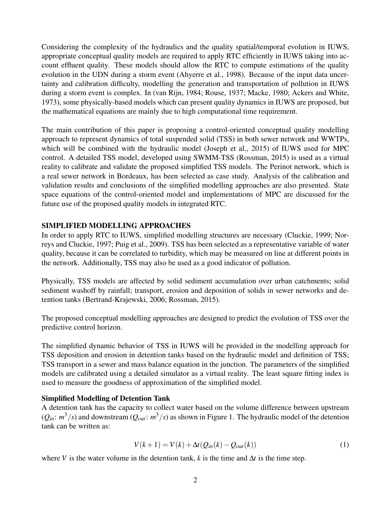Considering the complexity of the hydraulics and the quality spatial/temporal evolution in IUWS, appropriate conceptual quality models are required to apply RTC efficiently in IUWS taking into account effluent quality. These models should allow the RTC to compute estimations of the quality evolution in the UDN during a storm event (Ahyerre et al., 1998). Because of the input data uncertainty and calibration difficulty, modelling the generation and transportation of pollution in IUWS during a storm event is complex. In (van Rijn, 1984; Rouse, 1937; Macke, 1980; Ackers and White, 1973), some physically-based models which can present quality dynamics in IUWS are proposed, but the mathematical equations are mainly due to high computational time requirement.

The main contribution of this paper is proposing a control-oriented conceptual quality modelling approach to represent dynamics of total suspended solid (TSS) in both sewer network and WWTPs, which will be combined with the hydraulic model (Joseph et al., 2015) of IUWS used for MPC control. A detailed TSS model, developed using SWMM-TSS (Rossman, 2015) is used as a virtual reality to calibrate and validate the proposed simplified TSS models. The Perinot network, which is a real sewer network in Bordeaux, has been selected as case study. Analysis of the calibration and validation results and conclusions of the simplified modelling approaches are also presented. State space equations of the control-oriented model and implementations of MPC are discussed for the future use of the proposed quality models in integrated RTC.

# SIMPLIFIED MODELLING APPROACHES

In order to apply RTC to IUWS, simplified modelling structures are necessary (Cluckie, 1999; Norreys and Cluckie, 1997; Puig et al., 2009). TSS has been selected as a representative variable of water quality, because it can be correlated to turbidity, which may be measured on line at different points in the network. Additionally, TSS may also be used as a good indicator of pollution.

Physically, TSS models are affected by solid sediment accumulation over urban catchments; solid sediment washoff by rainfall; transport, erosion and deposition of solids in sewer networks and detention tanks (Bertrand-Krajewski, 2006; Rossman, 2015).

The proposed conceptual modelling approaches are designed to predict the evolution of TSS over the predictive control horizon.

The simplified dynamic behavior of TSS in IUWS will be provided in the modelling approach for TSS deposition and erosion in detention tanks based on the hydraulic model and definition of TSS; TSS transport in a sewer and mass balance equation in the junction. The parameters of the simplified models are calibrated using a detailed simulator as a virtual reality. The least square fitting index is used to measure the goodness of approximation of the simplified model.

# Simplified Modelling of Detention Tank

A detention tank has the capacity to collect water based on the volume difference between upstream  $(Q_{in}: m^3/s)$  and downstream  $(Q_{out}: m^3/s)$  as shown in Figure 1. The hydraulic model of the detention tank can be written as:

$$
V(k+1) = V(k) + \Delta t (Q_{in}(k) - Q_{out}(k))
$$
\n(1)

where *V* is the water volume in the detention tank,  $k$  is the time and  $\Delta t$  is the time step.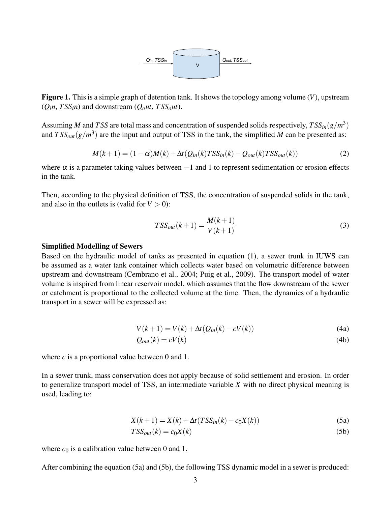

Figure 1. This is a simple graph of detention tank. It shows the topology among volume (*V*), upstream  $(Q_i n, TSS_i n)$  and downstream  $(Q_o ut, TSS_o ut)$ .

Assuming *M* and *T SS* are total mass and concentration of suspended solids respectively, *T SSin*(*g*/*m* 3 ) and  $TSS_{out}(g/m^3)$  are the input and output of TSS in the tank, the simplified *M* can be presented as:

$$
M(k+1) = (1 - \alpha)M(k) + \Delta t (Q_{in}(k)TSS_{in}(k) - Q_{out}(k)TSS_{out}(k))
$$
\n(2)

where  $\alpha$  is a parameter taking values between  $-1$  and 1 to represent sedimentation or erosion effects in the tank.

Then, according to the physical definition of TSS, the concentration of suspended solids in the tank, and also in the outlets is (valid for  $V > 0$ ):

$$
TSS_{out}(k+1) = \frac{M(k+1)}{V(k+1)}
$$
\n(3)

#### Simplified Modelling of Sewers

Based on the hydraulic model of tanks as presented in equation (1), a sewer trunk in IUWS can be assumed as a water tank container which collects water based on volumetric difference between upstream and downstream (Cembrano et al., 2004; Puig et al., 2009). The transport model of water volume is inspired from linear reservoir model, which assumes that the flow downstream of the sewer or catchment is proportional to the collected volume at the time. Then, the dynamics of a hydraulic transport in a sewer will be expressed as:

$$
V(k+1) = V(k) + \Delta t (Q_{in}(k) - cV(k))
$$
\n(4a)

$$
Q_{out}(k) = cV(k) \tag{4b}
$$

where *c* is a proportional value between 0 and 1.

In a sewer trunk, mass conservation does not apply because of solid settlement and erosion. In order to generalize transport model of TSS, an intermediate variable *X* with no direct physical meaning is used, leading to:

$$
X(k+1) = X(k) + \Delta t (TSS_{in}(k) - c_0 X(k))
$$
\n(5a)

$$
TSS_{out}(k) = c_0 X(k) \tag{5b}
$$

where  $c_0$  is a calibration value between 0 and 1.

After combining the equation (5a) and (5b), the following TSS dynamic model in a sewer is produced: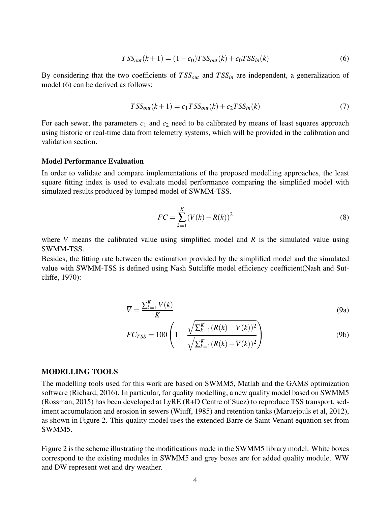$$
TSS_{out}(k+1) = (1 - c_0)TSS_{out}(k) + c_0TSS_{in}(k)
$$
\n(6)

By considering that the two coefficients of *T SSout* and *T SSin* are independent, a generalization of model (6) can be derived as follows:

$$
TSS_{out}(k+1) = c_1TSS_{out}(k) + c_2TSS_{in}(k)
$$
\n
$$
(7)
$$

For each sewer, the parameters  $c_1$  and  $c_2$  need to be calibrated by means of least squares approach using historic or real-time data from telemetry systems, which will be provided in the calibration and validation section.

#### Model Performance Evaluation

In order to validate and compare implementations of the proposed modelling approaches, the least square fitting index is used to evaluate model performance comparing the simplified model with simulated results produced by lumped model of SWMM-TSS.

$$
FC = \sum_{k=1}^{K} (V(k) - R(k))^2
$$
\n(8)

where *V* means the calibrated value using simplified model and  $R$  is the simulated value using SWMM-TSS.

Besides, the fitting rate between the estimation provided by the simplified model and the simulated value with SWMM-TSS is defined using Nash Sutcliffe model efficiency coefficient(Nash and Sutcliffe, 1970):

$$
\overline{V} = \frac{\sum_{k=1}^{K} V(k)}{K}
$$
 (9a)

$$
FC_{TSS} = 100 \left( 1 - \frac{\sqrt{\sum_{k=1}^{K} (R(k) - V(k))^2}}{\sqrt{\sum_{k=1}^{K} (R(k) - \overline{V}(k))^2}} \right)
$$
(9b)

#### MODELLING TOOLS

The modelling tools used for this work are based on SWMM5, Matlab and the GAMS optimization software (Richard, 2016). In particular, for quality modelling, a new quality model based on SWMM5 (Rossman, 2015) has been developed at LyRE (R+D Centre of Suez) to reproduce TSS transport, sediment accumulation and erosion in sewers (Wiuff, 1985) and retention tanks (Maruejouls et al, 2012), as shown in Figure 2. This quality model uses the extended Barre de Saint Venant equation set from SWMM5.

Figure 2 is the scheme illustrating the modifications made in the SWMM5 library model. White boxes correspond to the existing modules in SWMM5 and grey boxes are for added quality module. WW and DW represent wet and dry weather.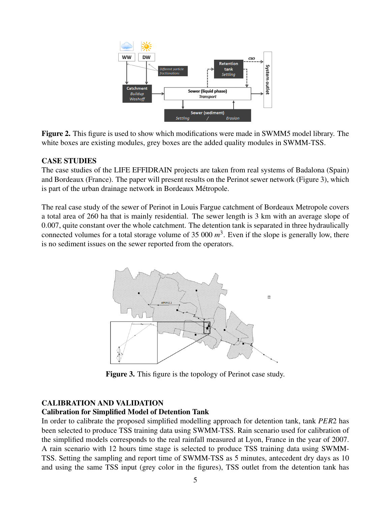

Figure 2. This figure is used to show which modifications were made in SWMM5 model library. The white boxes are existing modules, grey boxes are the added quality modules in SWMM-TSS.

# CASE STUDIES

The case studies of the LIFE EFFIDRAIN projects are taken from real systems of Badalona (Spain) and Bordeaux (France). The paper will present results on the Perinot sewer network (Figure 3), which is part of the urban drainage network in Bordeaux Métropole.

The real case study of the sewer of Perinot in Louis Fargue catchment of Bordeaux Metropole covers a total area of 260 ha that is mainly residential. The sewer length is 3 km with an average slope of 0.007, quite constant over the whole catchment. The detention tank is separated in three hydraulically connected volumes for a total storage volume of  $35\,000\,m^3$ . Even if the slope is generally low, there is no sediment issues on the sewer reported from the operators.



Figure 3. This figure is the topology of Perinot case study.

# CALIBRATION AND VALIDATION

# Calibration for Simplified Model of Detention Tank

In order to calibrate the proposed simplified modelling approach for detention tank, tank *PER*2 has been selected to produce TSS training data using SWMM-TSS. Rain scenario used for calibration of the simplified models corresponds to the real rainfall measured at Lyon, France in the year of 2007. A rain scenario with 12 hours time stage is selected to produce TSS training data using SWMM-TSS. Setting the sampling and report time of SWMM-TSS as 5 minutes, antecedent dry days as 10 and using the same TSS input (grey color in the figures), TSS outlet from the detention tank has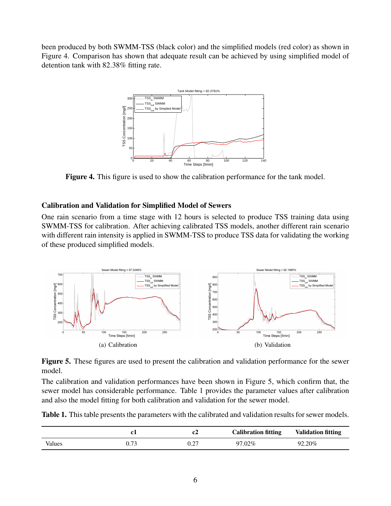been produced by both SWMM-TSS (black color) and the simplified models (red color) as shown in Figure 4. Comparison has shown that adequate result can be achieved by using simplified model of detention tank with 82.38% fitting rate.



Figure 4. This figure is used to show the calibration performance for the tank model.

# Calibration and Validation for Simplified Model of Sewers

One rain scenario from a time stage with 12 hours is selected to produce TSS training data using SWMM-TSS for calibration. After achieving calibrated TSS models, another different rain scenario with different rain intensity is applied in SWMM-TSS to produce TSS data for validating the working of these produced simplified models.



Figure 5. These figures are used to present the calibration and validation performance for the sewer model.

The calibration and validation performances have been shown in Figure 5, which confirm that, the sewer model has considerable performance. Table 1 provides the parameter values after calibration and also the model fitting for both calibration and validation for the sewer model.

Table 1. This table presents the parameters with the calibrated and validation results for sewer models.

|        |      |      | <b>Calibration fitting</b> | <b>Validation fitting</b> |
|--------|------|------|----------------------------|---------------------------|
| Values | 0.73 | 0.27 | 97.02%                     | 92.20%                    |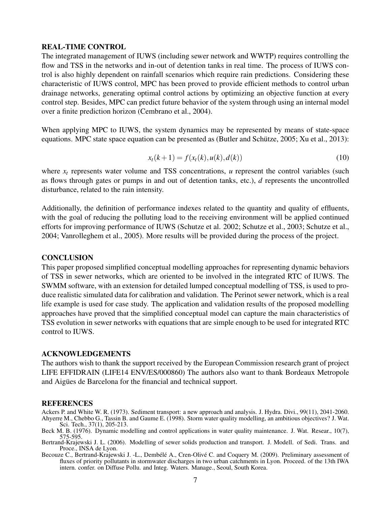#### REAL-TIME CONTROL

The integrated management of IUWS (including sewer network and WWTP) requires controlling the flow and TSS in the networks and in-out of detention tanks in real time. The process of IUWS control is also highly dependent on rainfall scenarios which require rain predictions. Considering these characteristic of IUWS control, MPC has been proved to provide efficient methods to control urban drainage networks, generating optimal control actions by optimizing an objective function at every control step. Besides, MPC can predict future behavior of the system through using an internal model over a finite prediction horizon (Cembrano et al., 2004).

When applying MPC to IUWS, the system dynamics may be represented by means of state-space equations. MPC state space equation can be presented as (Butler and Schütze, 2005; Xu et al., 2013):

$$
x_t(k+1) = f(x_t(k), u(k), d(k))
$$
\n(10)

where  $x_t$  represents water volume and TSS concentrations, *u* represent the control variables (such as flows through gates or pumps in and out of detention tanks, etc.), *d* represents the uncontrolled disturbance, related to the rain intensity.

Additionally, the definition of performance indexes related to the quantity and quality of effluents, with the goal of reducing the polluting load to the receiving environment will be applied continued efforts for improving performance of IUWS (Schutze et al. 2002; Schutze et al., 2003; Schutze et al., 2004; Vanrolleghem et al., 2005). More results will be provided during the process of the project.

#### **CONCLUSION**

This paper proposed simplified conceptual modelling approaches for representing dynamic behaviors of TSS in sewer networks, which are oriented to be involved in the integrated RTC of IUWS. The SWMM software, with an extension for detailed lumped conceptual modelling of TSS, is used to produce realistic simulated data for calibration and validation. The Perinot sewer network, which is a real life example is used for case study. The application and validation results of the proposed modelling approaches have proved that the simplified conceptual model can capture the main characteristics of TSS evolution in sewer networks with equations that are simple enough to be used for integrated RTC control to IUWS.

#### ACKNOWLEDGEMENTS

The authors wish to thank the support received by the European Commission research grant of project LIFE EFFIDRAIN (LIFE14 ENV/ES/000860) The authors also want to thank Bordeaux Metropole and Aigües de Barcelona for the financial and technical support.

#### **REFERENCES**

Ackers P. and White W. R. (1973). Sediment transport: a new approach and analysis. J. Hydra. Divi., 99(11), 2041-2060. Ahyerre M., Chebbo G., Tassin B. and Gaume E. (1998). Storm water quality modelling, an ambitious objectives? J. Wat. Sci. Tech., 37(1), 205-213.

Beck M. B. (1976). Dynamic modelling and control applications in water quality maintenance. J. Wat. Resear., 10(7), 575-595.

Bertrand-Krajewski J. L. (2006). Modelling of sewer solids production and transport. J. Modell. of Sedi. Trans. and Proce., INSA de Lyon.

Becouze C., Bertrand-Krajewski J. -L., Dembélé A., Cren-Olivé C. and Coquery M. (2009). Preliminary assessment of fluxes of priority pollutants in stormwater discharges in two urban catchments in Lyon. Proceed. of the 13th IWA intern. confer. on Diffuse Pollu. and Integ. Waters. Manage., Seoul, South Korea.